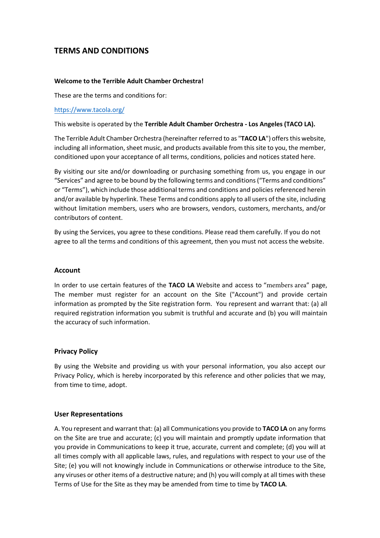# **TERMS AND CONDITIONS**

#### **Welcome to the Terrible Adult Chamber Orchestra!**

These are the terms and conditions for:

### <https://www.tacola.org/>

This website is operated by the **Terrible Adult Chamber Orchestra - Los Angeles (TACO LA).**

The Terrible Adult Chamber Orchestra (hereinafter referred to as "**TACO LA**") offers this website, including all information, sheet music, and products available from this site to you, the member, conditioned upon your acceptance of all terms, conditions, policies and notices stated here.

By visiting our site and/or downloading or purchasing something from us, you engage in our "Services" and agree to be bound by the following terms and conditions ("Terms and conditions" or "Terms"), which include those additional terms and conditions and policies referenced herein and/or available by hyperlink. These Terms and conditions apply to all users of the site, including without limitation members, users who are browsers, vendors, customers, merchants, and/or contributors of content.

By using the Services, you agree to these conditions. Please read them carefully. If you do not agree to all the terms and conditions of this agreement, then you must not access the website.

#### **Account**

In order to use certain features of the **TACO LA** Website and access to "members area" page, The member must register for an account on the Site ("Account") and provide certain information as prompted by the Site registration form. You represent and warrant that: (a) all required registration information you submit is truthful and accurate and (b) you will maintain the accuracy of such information.

## **Privacy Policy**

By using the Website and providing us with your personal information, you also accept our Privacy Policy, which is hereby incorporated by this reference and other policies that we may, from time to time, adopt.

## **User Representations**

A. You represent and warrant that: (a) all Communications you provide to **TACO LA** on any forms on the Site are true and accurate; (c) you will maintain and promptly update information that you provide in Communications to keep it true, accurate, current and complete; (d) you will at all times comply with all applicable laws, rules, and regulations with respect to your use of the Site; (e) you will not knowingly include in Communications or otherwise introduce to the Site, any viruses or other items of a destructive nature; and (h) you will comply at all times with these Terms of Use for the Site as they may be amended from time to time by **TACO LA**.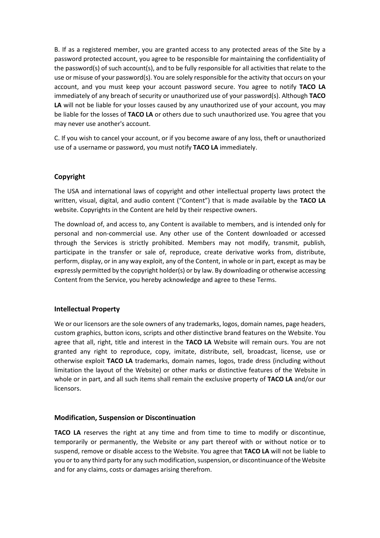B. If as a registered member, you are granted access to any protected areas of the Site by a password protected account, you agree to be responsible for maintaining the confidentiality of the password(s) of such account(s), and to be fully responsible for all activities that relate to the use or misuse of your password(s). You are solely responsible for the activity that occurs on your account, and you must keep your account password secure. You agree to notify **TACO LA** immediately of any breach of security or unauthorized use of your password(s). Although **TACO LA** will not be liable for your losses caused by any unauthorized use of your account, you may be liable for the losses of **TACO LA** or others due to such unauthorized use. You agree that you may never use another's account.

C. If you wish to cancel your account, or if you become aware of any loss, theft or unauthorized use of a username or password, you must notify **TACO LA** immediately.

## **Copyright**

The USA and international laws of copyright and other intellectual property laws protect the written, visual, digital, and audio content ("Content") that is made available by the **TACO LA** website. Copyrights in the Content are held by their respective owners.

The download of, and access to, any Content is available to members, and is intended only for personal and non-commercial use. Any other use of the Content downloaded or accessed through the Services is strictly prohibited. Members may not modify, transmit, publish, participate in the transfer or sale of, reproduce, create derivative works from, distribute, perform, display, or in any way exploit, any of the Content, in whole or in part, except as may be expressly permitted by the copyright holder(s) or by law. By downloading or otherwise accessing Content from the Service, you hereby acknowledge and agree to these Terms.

#### **Intellectual Property**

We or our licensors are the sole owners of any trademarks, logos, domain names, page headers, custom graphics, button icons, scripts and other distinctive brand features on the Website. You agree that all, right, title and interest in the **TACO LA** Website will remain ours. You are not granted any right to reproduce, copy, imitate, distribute, sell, broadcast, license, use or otherwise exploit **TACO LA** trademarks, domain names, logos, trade dress (including without limitation the layout of the Website) or other marks or distinctive features of the Website in whole or in part, and all such items shall remain the exclusive property of **TACO LA** and/or our licensors.

#### **Modification, Suspension or Discontinuation**

**TACO LA** reserves the right at any time and from time to time to modify or discontinue, temporarily or permanently, the Website or any part thereof with or without notice or to suspend, remove or disable access to the Website. You agree that **TACO LA** will not be liable to you or to any third party for any such modification, suspension, or discontinuance of the Website and for any claims, costs or damages arising therefrom.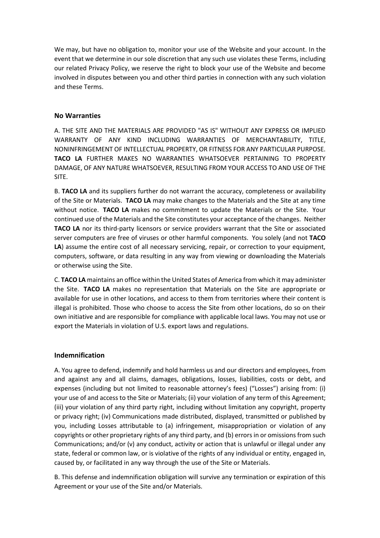We may, but have no obligation to, monitor your use of the Website and your account. In the event that we determine in our sole discretion that any such use violates these Terms, including our related Privacy Policy, we reserve the right to block your use of the Website and become involved in disputes between you and other third parties in connection with any such violation and these Terms.

# **No Warranties**

A. THE SITE AND THE MATERIALS ARE PROVIDED "AS IS" WITHOUT ANY EXPRESS OR IMPLIED WARRANTY OF ANY KIND INCLUDING WARRANTIES OF MERCHANTABILITY, TITLE, NONINFRINGEMENT OF INTELLECTUAL PROPERTY, OR FITNESS FOR ANY PARTICULAR PURPOSE. **TACO LA** FURTHER MAKES NO WARRANTIES WHATSOEVER PERTAINING TO PROPERTY DAMAGE, OF ANY NATURE WHATSOEVER, RESULTING FROM YOUR ACCESS TO AND USE OF THE SITE.

B. **TACO LA** and its suppliers further do not warrant the accuracy, completeness or availability of the Site or Materials. **TACO LA** may make changes to the Materials and the Site at any time without notice. **TACO LA** makes no commitment to update the Materials or the Site. Your continued use of the Materials and the Site constitutes your acceptance of the changes. Neither **TACO LA** nor its third-party licensors or service providers warrant that the Site or associated server computers are free of viruses or other harmful components. You solely (and not **TACO LA**) assume the entire cost of all necessary servicing, repair, or correction to your equipment, computers, software, or data resulting in any way from viewing or downloading the Materials or otherwise using the Site.

C. **TACO LA** maintains an office within the United States of America from which it may administer the Site. **TACO LA** makes no representation that Materials on the Site are appropriate or available for use in other locations, and access to them from territories where their content is illegal is prohibited. Those who choose to access the Site from other locations, do so on their own initiative and are responsible for compliance with applicable local laws. You may not use or export the Materials in violation of U.S. export laws and regulations.

## **Indemnification**

A. You agree to defend, indemnify and hold harmless us and our directors and employees, from and against any and all claims, damages, obligations, losses, liabilities, costs or debt, and expenses (including but not limited to reasonable attorney's fees) ("Losses") arising from: (i) your use of and access to the Site or Materials; (ii) your violation of any term of this Agreement; (iii) your violation of any third party right, including without limitation any copyright, property or privacy right; (iv) Communications made distributed, displayed, transmitted or published by you, including Losses attributable to (a) infringement, misappropriation or violation of any copyrights or other proprietary rights of any third party, and (b) errors in or omissions from such Communications; and/or (v) any conduct, activity or action that is unlawful or illegal under any state, federal or common law, or is violative of the rights of any individual or entity, engaged in, caused by, or facilitated in any way through the use of the Site or Materials.

B. This defense and indemnification obligation will survive any termination or expiration of this Agreement or your use of the Site and/or Materials.